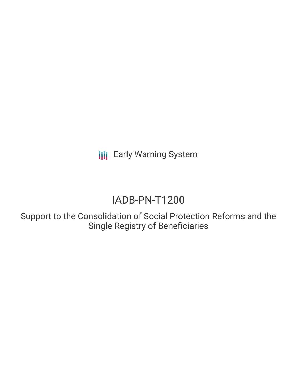**III** Early Warning System

# IADB-PN-T1200

Support to the Consolidation of Social Protection Reforms and the Single Registry of Beneficiaries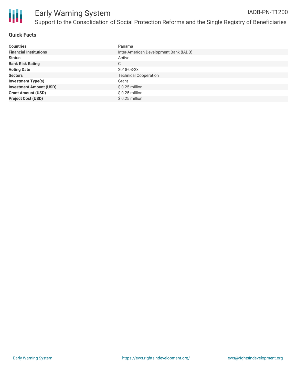

## **Quick Facts**

| <b>Countries</b>               | Panama                                 |
|--------------------------------|----------------------------------------|
| <b>Financial Institutions</b>  | Inter-American Development Bank (IADB) |
| <b>Status</b>                  | Active                                 |
| <b>Bank Risk Rating</b>        | C                                      |
| <b>Voting Date</b>             | 2018-03-23                             |
| <b>Sectors</b>                 | <b>Technical Cooperation</b>           |
| <b>Investment Type(s)</b>      | Grant                                  |
| <b>Investment Amount (USD)</b> | $$0.25$ million                        |
| <b>Grant Amount (USD)</b>      | $$0.25$ million                        |
| <b>Project Cost (USD)</b>      | $$0.25$ million                        |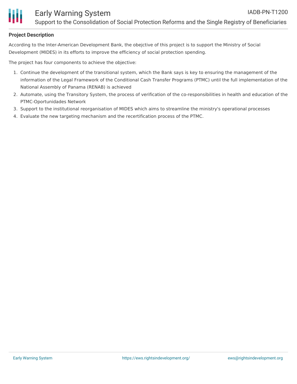

### **Project Description**

According to the Inter-American Development Bank, the obejctive of this project is to support the Ministry of Social Development (MIDES) in its efforts to improve the efficiency of social protection spending.

The project has four components to achieve the objective:

- 1. Continue the development of the transitional system, which the Bank says is key to ensuring the management of the information of the Legal Framework of the Conditional Cash Transfer Programs (PTMC) until the full implementation of the National Assembly of Panama (RENAB) is achieved
- 2. Automate, using the Transitory System, the process of verification of the co-responsibilities in health and education of the PTMC-Oportunidades Network
- 3. Support to the institutional reorganisation of MIDES which aims to streamline the ministry's operational processes
- 4. Evaluate the new targeting mechanism and the recertification process of the PTMC.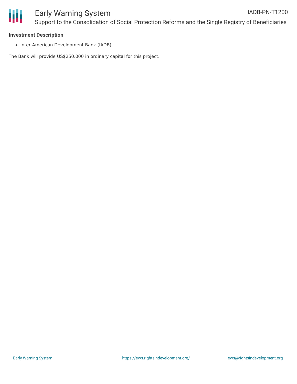

## **Investment Description**

• Inter-American Development Bank (IADB)

The Bank will provide US\$250,000 in ordinary capital for this project.